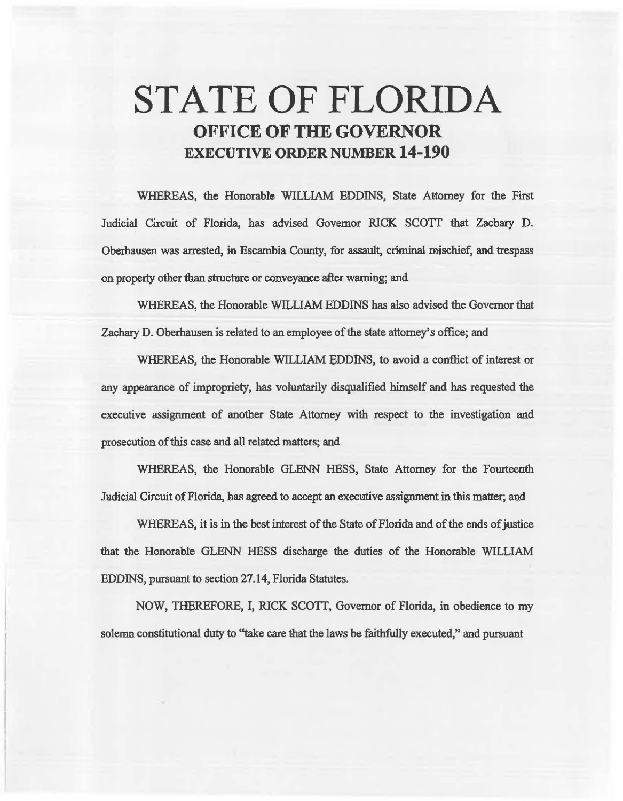# **STATE OF FLORIDA OFFICE OF THE GOVERNOR EXECUTIVE ORDER NUMBER 14-190**

WHEREAS, the Honorable WILLIAM EDDINS, State Attorney for the First Judicial Circuit of Florida, has advised Governor RICK SCOTT that Zachary D. Oberhausen was arrested, in Escambia Comity, for assault, criminal mischief, and trespass on property other than structure or conveyance after warning; and

WHEREAS, the Honorable WILLIAM EDDINS has also advised the Governor that Zachary D. Oberhausen is related to an employee of the state attorney's office; and

WHEREAS, the Honorable WILLIAM BDDlNS, to avoid a conflict of interest or any appearance of impropriety, has voluntarily disqualified himself and has requested the executive assignment of another State Attorney with respect to the investigation and prosecution of this case and all related matters; and

WHEREAS, the Honorable GLENN HESS, State Attorney for the Fomteenth Judicial Circuit of Florida, has agreed to accept an execative assignment in this matter; and

WHEREAS, it is in the best interest of the State of Florida and of the ends of justice that the Honorable GLENN HESS discharge the duties of the Honorable WILLIAM EDDINS, pursuant to section 27.14, Florida Statutes.

NOW, THEREFORE, I, RICK SCOIT, Governor of Florida, in obedience to my solemn constitutional duty to "take care that the laws be faithfully executed," and pursuant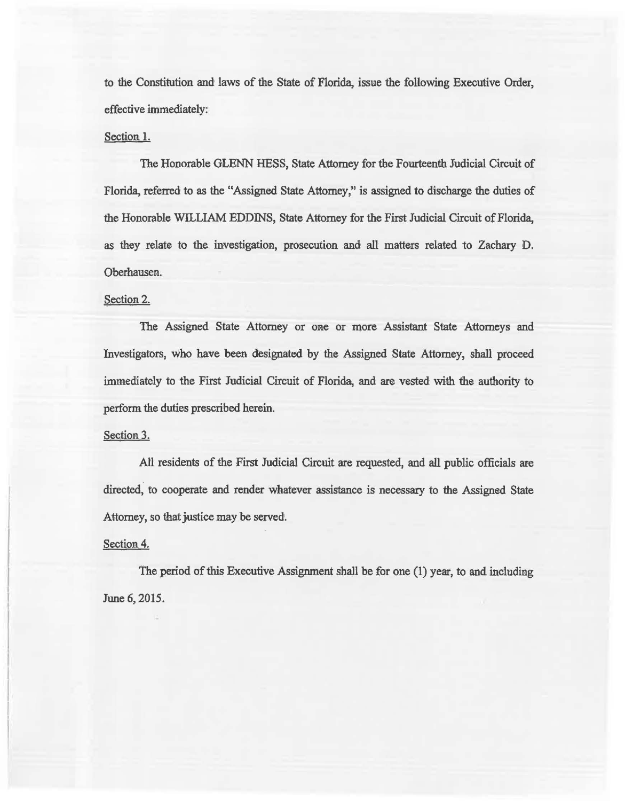to the Constitution and laws of the State of Florida, issue the following Executive Order, effective immediately:

#### Sectioa 1.

The Honorable GLENN HESS, State Attorney for the Fourteenth Judicial Circuit of Florida, referred to as the "Assigned State Attorney," is assigned to discharge the duties of the Honorable WILLIAM EDDINS, State Attorney for the First Judicial Circuit of Florida, as they relate to the investigation, prosecution and all matters related to Zachary D. Oberhausen.

## Section 2.

The Assigned State Attorney or one or more Assistant State Attorneys and Investigators, who have been designated by the Assigned State Attorney, shall proceed immediately to the First Judicial Circuit of Florida, and are vested with the authority to perform the duties prescribed herein.

#### Section 3.

All residents of the First Judicial Circuit are requested, and all public officials are directed, to cooperate and render whatever assistance is necessary to the Assigned State Attorney, so that justice may be served.

## Section<sub>4</sub>.

The period of this Executive Assignment shall be for one (1) year, to and including June 6, 2015.